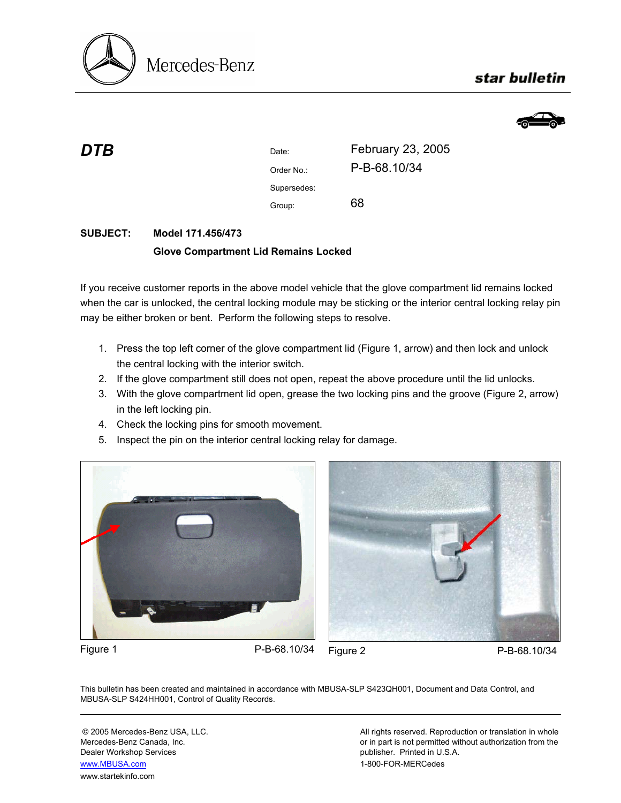

# star bulletin



| DTB | Date:       | February 23, 2005 |
|-----|-------------|-------------------|
|     | Order No.:  | P-B-68.10/34      |
|     | Supersedes: |                   |
|     | Group:      | 68                |

## **SUBJECT: Model 171.456/473 Glove Compartment Lid Remains Locked**

If you receive customer reports in the above model vehicle that the glove compartment lid remains locked when the car is unlocked, the central locking module may be sticking or the interior central locking relay pin may be either broken or bent. Perform the following steps to resolve.

- 1. Press the top left corner of the glove compartment lid (Figure 1, arrow) and then lock and unlock the central locking with the interior switch.
- 2. If the glove compartment still does not open, repeat the above procedure until the lid unlocks.
- 3. With the glove compartment lid open, grease the two locking pins and the groove (Figure 2, arrow) in the left locking pin.
- 4. Check the locking pins for smooth movement.
- 5. Inspect the pin on the interior central locking relay for damage.





Figure 1 P-B-68.10/34 Figure 2 P-B-68.10/34

This bulletin has been created and maintained in accordance with MBUSA-SLP S423QH001, Document and Data Control, and MBUSA-SLP S424HH001, Control of Quality Records.

Dealer Workshop Services publisher. Printed in U.S.A. www.MBUSA.com 1-800-FOR-MERCedes www.startekinfo.com

© 2005 Mercedes-Benz USA, LLC. <br>Mercedes-Benz Canada, Inc. All rights reserved. Reproduction or translation in whole<br>or in part is not permitted without authorization from the or in part is not permitted without authorization from the